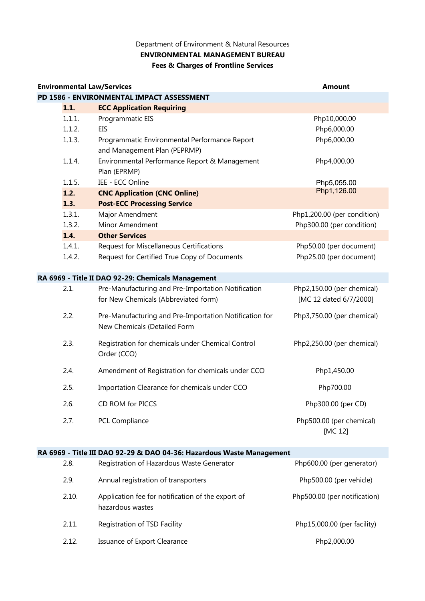## **Fees & Charges of Frontline Services ENVIRONMENTAL MANAGEMENT BUREAU** Department of Environment & Natural Resources

| <b>Environmental Law/Services</b>         |        |                                                        | <b>Amount</b>               |  |
|-------------------------------------------|--------|--------------------------------------------------------|-----------------------------|--|
| PD 1586 - ENVIRONMENTAL IMPACT ASSESSMENT |        |                                                        |                             |  |
|                                           | 1.1.   | <b>ECC Application Requiring</b>                       |                             |  |
|                                           | 1.1.1. | Programmatic EIS                                       | Php10,000.00                |  |
|                                           | 1.1.2. | <b>EIS</b>                                             | Php6,000.00                 |  |
|                                           | 1.1.3. | Programmatic Environmental Performance Report          | Php6,000.00                 |  |
|                                           |        | and Management Plan (PEPRMP)                           |                             |  |
|                                           | 1.1.4. | Environmental Performance Report & Management          | Php4,000.00                 |  |
|                                           |        | Plan (EPRMP)                                           |                             |  |
|                                           | 1.1.5. | IEE - ECC Online                                       | Php5,055.00                 |  |
|                                           | 1.2.   | <b>CNC Application (CNC Online)</b>                    | Php1,126.00                 |  |
|                                           | 1.3.   | <b>Post-ECC Processing Service</b>                     |                             |  |
|                                           | 1.3.1. | Major Amendment                                        | Php1,200.00 (per condition) |  |
|                                           | 1.3.2. | Minor Amendment                                        | Php300.00 (per condition)   |  |
|                                           | 1.4.   | <b>Other Services</b>                                  |                             |  |
|                                           | 1.4.1. | Request for Miscellaneous Certifications               | Php50.00 (per document)     |  |
|                                           | 1.4.2. | Request for Certified True Copy of Documents           | Php25.00 (per document)     |  |
|                                           |        | RA 6969 - Title II DAO 92-29: Chemicals Management     |                             |  |
|                                           | 2.1.   | Pre-Manufacturing and Pre-Importation Notification     | Php2,150.00 (per chemical)  |  |
|                                           |        | for New Chemicals (Abbreviated form)                   | [MC 12 dated 6/7/2000]      |  |
|                                           | 2.2.   | Pre-Manufacturing and Pre-Importation Notification for | Php3,750.00 (per chemical)  |  |
|                                           |        | New Chemicals (Detailed Form                           |                             |  |
|                                           | 2.3.   | Registration for chemicals under Chemical Control      | Php2,250.00 (per chemical)  |  |
|                                           |        | Order (CCO)                                            |                             |  |
|                                           | 2.4.   | Amendment of Registration for chemicals under CCO      | Php1,450.00                 |  |
|                                           | 2.5.   | Importation Clearance for chemicals under CCO          | Php700.00                   |  |
|                                           | 2.6.   | CD ROM for PICCS                                       | Php300.00 (per CD)          |  |
|                                           | 2.7.   | PCL Compliance                                         | Php500.00 (per chemical)    |  |
|                                           |        |                                                        | [MC 12]                     |  |

## **RA 6969 - Title III DAO 92-29 & DAO 04-36: Hazardous Waste Management**

| 2.8.  | Registration of Hazardous Waste Generator                             | Php600.00 (per generator)    |
|-------|-----------------------------------------------------------------------|------------------------------|
| 2.9.  | Annual registration of transporters                                   | Php500.00 (per vehicle)      |
| 2.10. | Application fee for notification of the export of<br>hazardous wastes | Php500.00 (per notification) |
| 2.11. | Registration of TSD Facility                                          | Php15,000.00 (per facility)  |
| 2.12. | Issuance of Export Clearance                                          | Php2,000.00                  |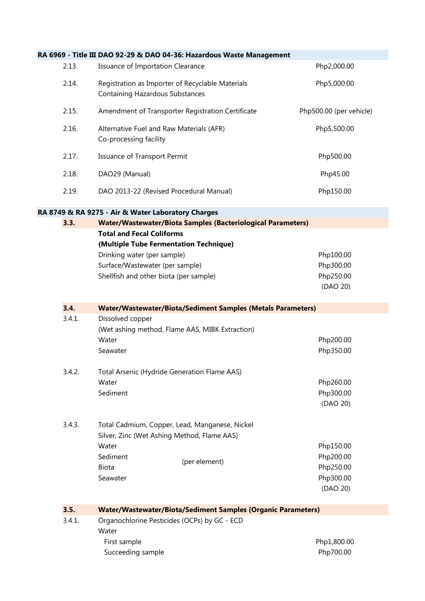|        | RA 6969 - Title III DAO 92-29 & DAO 04-36: Hazardous Waste Management                      |                         |
|--------|--------------------------------------------------------------------------------------------|-------------------------|
| 2.13.  | Issuance of Importation Clearance                                                          | Php2,000.00             |
| 2.14.  | Registration as Importer of Recyclable Materials<br><b>Containing Hazardous Substances</b> | Php5,000.00             |
| 2.15.  | Amendment of Transporter Registration Certificate                                          | Php500.00 (per vehicle) |
| 2.16.  | Alternative Fuel and Raw Materials (AFR)<br>Co-processing facility                         | Php5,500.00             |
| 2.17.  | Issuance of Transport Permit                                                               | Php500.00               |
| 2.18.  | DAO29 (Manual)                                                                             | Php45.00                |
| 2.19.  | DAO 2013-22 (Revised Procedural Manual)                                                    | Php150.00               |
|        | RA 8749 & RA 9275 - Air & Water Laboratory Charges                                         |                         |
| 3.3.   | <b>Water/Wastewater/Biota Samples (Bacteriological Parameters)</b>                         |                         |
|        | <b>Total and Fecal Coliforms</b>                                                           |                         |
|        | (Multiple Tube Fermentation Technique)                                                     |                         |
|        | Drinking water (per sample)                                                                | Php100.00               |
|        | Surface/Wastewater (per sample)                                                            | Php300.00               |
|        | Shellfish and other biota (per sample)                                                     | Php250.00               |
|        |                                                                                            | (DAO 20)                |
| 3.4.   | <b>Water/Wastewater/Biota/Sediment Samples (Metals Parameters)</b>                         |                         |
|        |                                                                                            |                         |
| 3.4.1. | Dissolved copper                                                                           |                         |
|        | (Wet ashing method, Flame AAS, MIBK Extraction)                                            |                         |
|        | Water                                                                                      | Php200.00               |
|        | Seawater                                                                                   | Php350.00               |
| 3.4.2. | Total Arsenic (Hydride Generation Flame AAS)                                               |                         |
|        | Water                                                                                      | Php260.00               |
|        | Sediment                                                                                   | Php300.00               |
|        |                                                                                            | (DAO 20)                |
| 3.4.3. | Total Cadmium, Copper, Lead, Manganese, Nickel                                             |                         |
|        | Silver, Zinc (Wet Ashing Method, Flame AAS)                                                |                         |
|        | Water                                                                                      | Php150.00               |
|        | Sediment                                                                                   | Php200.00               |
|        | (per element)<br><b>Biota</b>                                                              | Php250.00               |
|        | Seawater                                                                                   | Php300.00               |
|        |                                                                                            | (DAO 20)                |
| 3.5.   | <b>Water/Wastewater/Biota/Sediment Samples (Organic Parameters)</b>                        |                         |
| 3.4.1. | Organochlorine Pesticides (OCPs) by GC - ECD                                               |                         |
|        | Water                                                                                      |                         |
|        | First sample                                                                               | Php1,800.00             |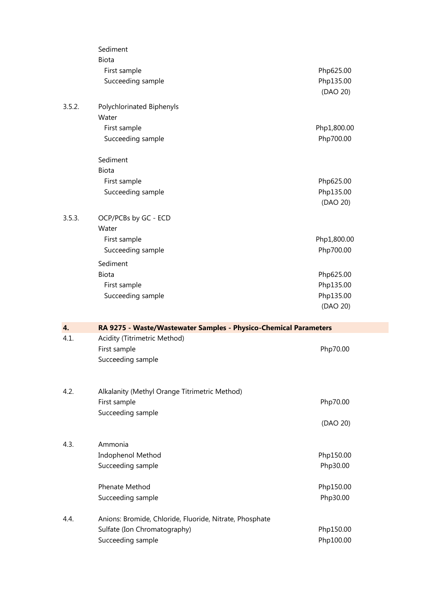|        | Sediment                                                         |                        |
|--------|------------------------------------------------------------------|------------------------|
|        | Biota<br>First sample                                            | Php625.00              |
|        | Succeeding sample                                                | Php135.00              |
|        |                                                                  | (DAO 20)               |
| 3.5.2. | Polychlorinated Biphenyls                                        |                        |
|        | Water                                                            |                        |
|        | First sample                                                     | Php1,800.00            |
|        | Succeeding sample                                                | Php700.00              |
|        | Sediment                                                         |                        |
|        | Biota                                                            |                        |
|        | First sample                                                     | Php625.00              |
|        | Succeeding sample                                                | Php135.00              |
|        |                                                                  | (DAO 20)               |
| 3.5.3. | OCP/PCBs by GC - ECD                                             |                        |
|        | Water                                                            |                        |
|        | First sample                                                     | Php1,800.00            |
|        | Succeeding sample                                                | Php700.00              |
|        | Sediment                                                         |                        |
|        | Biota                                                            | Php625.00              |
|        | First sample                                                     | Php135.00              |
|        | Succeeding sample                                                | Php135.00              |
|        |                                                                  | (DAO 20)               |
|        |                                                                  |                        |
| 4.     | RA 9275 - Waste/Wastewater Samples - Physico-Chemical Parameters |                        |
| 4.1.   | Acidity (Titrimetric Method)                                     |                        |
|        | First sample                                                     | Php70.00               |
|        | Succeeding sample                                                |                        |
|        |                                                                  |                        |
| 4.2.   | Alkalanity (Methyl Orange Titrimetric Method)                    |                        |
|        | First sample                                                     | Php70.00               |
|        | Succeeding sample                                                |                        |
|        |                                                                  | (DAO 20)               |
| 4.3.   | Ammonia                                                          |                        |
|        | Indophenol Method                                                | Php150.00              |
|        | Succeeding sample                                                | Php30.00               |
|        | Phenate Method                                                   | Php150.00              |
|        | Succeeding sample                                                | Php30.00               |
| 4.4.   | Anions: Bromide, Chloride, Fluoride, Nitrate, Phosphate          |                        |
|        | Sulfate (Ion Chromatography)<br>Succeeding sample                | Php150.00<br>Php100.00 |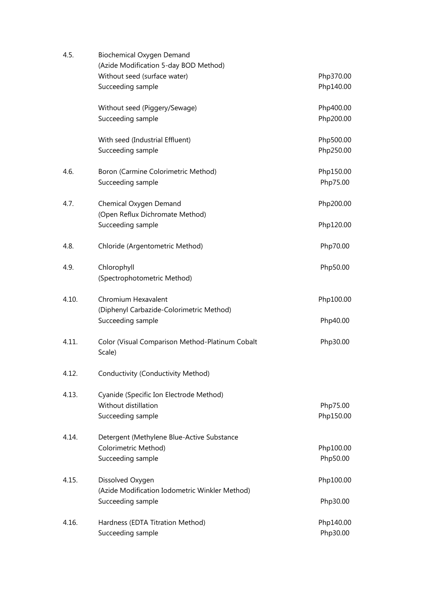| 4.5.  | Biochemical Oxygen Demand<br>(Azide Modification 5-day BOD Method) |           |
|-------|--------------------------------------------------------------------|-----------|
|       | Without seed (surface water)                                       | Php370.00 |
|       | Succeeding sample                                                  | Php140.00 |
|       | Without seed (Piggery/Sewage)                                      | Php400.00 |
|       | Succeeding sample                                                  | Php200.00 |
|       | With seed (Industrial Effluent)                                    | Php500.00 |
|       | Succeeding sample                                                  | Php250.00 |
| 4.6.  | Boron (Carmine Colorimetric Method)                                | Php150.00 |
|       | Succeeding sample                                                  | Php75.00  |
| 4.7.  | Chemical Oxygen Demand                                             | Php200.00 |
|       | (Open Reflux Dichromate Method)                                    |           |
|       | Succeeding sample                                                  | Php120.00 |
| 4.8.  | Chloride (Argentometric Method)                                    | Php70.00  |
| 4.9.  | Chlorophyll                                                        | Php50.00  |
|       | (Spectrophotometric Method)                                        |           |
| 4.10. | Chromium Hexavalent                                                | Php100.00 |
|       | (Diphenyl Carbazide-Colorimetric Method)                           |           |
|       | Succeeding sample                                                  | Php40.00  |
| 4.11. | Color (Visual Comparison Method-Platinum Cobalt<br>Scale)          | Php30.00  |
| 4.12. | Conductivity (Conductivity Method)                                 |           |
| 4.13. | Cyanide (Specific Ion Electrode Method)                            |           |
|       | Without distillation                                               | Php75.00  |
|       | Succeeding sample                                                  | Php150.00 |
| 4.14. | Detergent (Methylene Blue-Active Substance                         |           |
|       | Colorimetric Method)                                               | Php100.00 |
|       | Succeeding sample                                                  | Php50.00  |
| 4.15. | Dissolved Oxygen                                                   | Php100.00 |
|       | (Azide Modification Iodometric Winkler Method)                     |           |
|       | Succeeding sample                                                  | Php30.00  |
| 4.16. | Hardness (EDTA Titration Method)                                   | Php140.00 |
|       | Succeeding sample                                                  | Php30.00  |